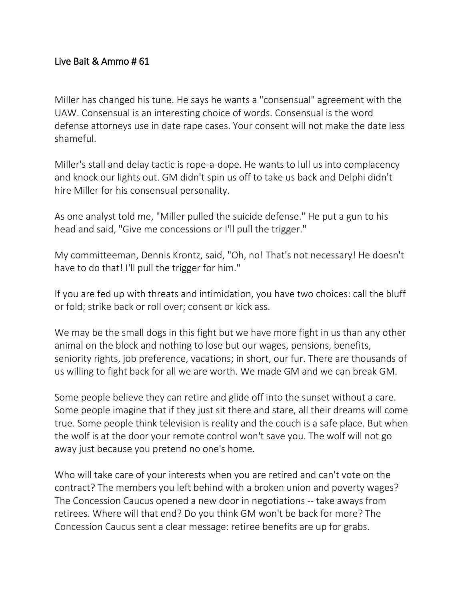## Live Bait & Ammo # 61

Miller has changed his tune. He says he wants a "consensual" agreement with the UAW. Consensual is an interesting choice of words. Consensual is the word defense attorneys use in date rape cases. Your consent will not make the date less shameful.

Miller's stall and delay tactic is rope-a-dope. He wants to lull us into complacency and knock our lights out. GM didn't spin us off to take us back and Delphi didn't hire Miller for his consensual personality.

As one analyst told me, "Miller pulled the suicide defense." He put a gun to his head and said, "Give me concessions or I'll pull the trigger."

My committeeman, Dennis Krontz, said, "Oh, no! That's not necessary! He doesn't have to do that! I'll pull the trigger for him."

If you are fed up with threats and intimidation, you have two choices: call the bluff or fold; strike back or roll over; consent or kick ass.

We may be the small dogs in this fight but we have more fight in us than any other animal on the block and nothing to lose but our wages, pensions, benefits, seniority rights, job preference, vacations; in short, our fur. There are thousands of us willing to fight back for all we are worth. We made GM and we can break GM.

Some people believe they can retire and glide off into the sunset without a care. Some people imagine that if they just sit there and stare, all their dreams will come true. Some people think television is reality and the couch is a safe place. But when the wolf is at the door your remote control won't save you. The wolf will not go away just because you pretend no one's home.

Who will take care of your interests when you are retired and can't vote on the contract? The members you left behind with a broken union and poverty wages? The Concession Caucus opened a new door in negotiations -- take aways from retirees. Where will that end? Do you think GM won't be back for more? The Concession Caucus sent a clear message: retiree benefits are up for grabs.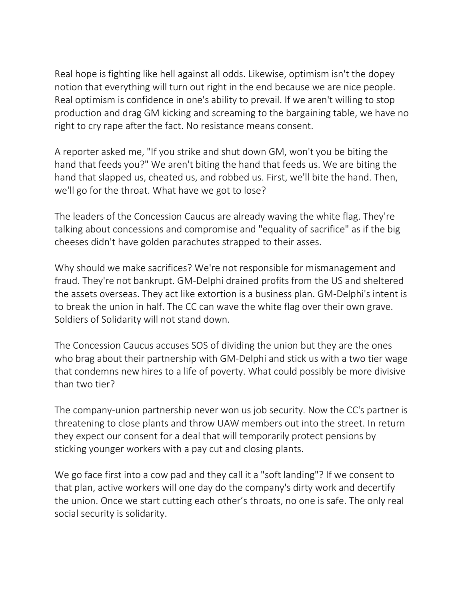Real hope is fighting like hell against all odds. Likewise, optimism isn't the dopey notion that everything will turn out right in the end because we are nice people. Real optimism is confidence in one's ability to prevail. If we aren't willing to stop production and drag GM kicking and screaming to the bargaining table, we have no right to cry rape after the fact. No resistance means consent.

A reporter asked me, "If you strike and shut down GM, won't you be biting the hand that feeds you?" We aren't biting the hand that feeds us. We are biting the hand that slapped us, cheated us, and robbed us. First, we'll bite the hand. Then, we'll go for the throat. What have we got to lose?

The leaders of the Concession Caucus are already waving the white flag. They're talking about concessions and compromise and "equality of sacrifice" as if the big cheeses didn't have golden parachutes strapped to their asses.

Why should we make sacrifices? We're not responsible for mismanagement and fraud. They're not bankrupt. GM-Delphi drained profits from the US and sheltered the assets overseas. They act like extortion is a business plan. GM-Delphi's intent is to break the union in half. The CC can wave the white flag over their own grave. Soldiers of Solidarity will not stand down.

The Concession Caucus accuses SOS of dividing the union but they are the ones who brag about their partnership with GM-Delphi and stick us with a two tier wage that condemns new hires to a life of poverty. What could possibly be more divisive than two tier?

The company-union partnership never won us job security. Now the CC's partner is threatening to close plants and throw UAW members out into the street. In return they expect our consent for a deal that will temporarily protect pensions by sticking younger workers with a pay cut and closing plants.

We go face first into a cow pad and they call it a "soft landing"? If we consent to that plan, active workers will one day do the company's dirty work and decertify the union. Once we start cutting each other's throats, no one is safe. The only real social security is solidarity.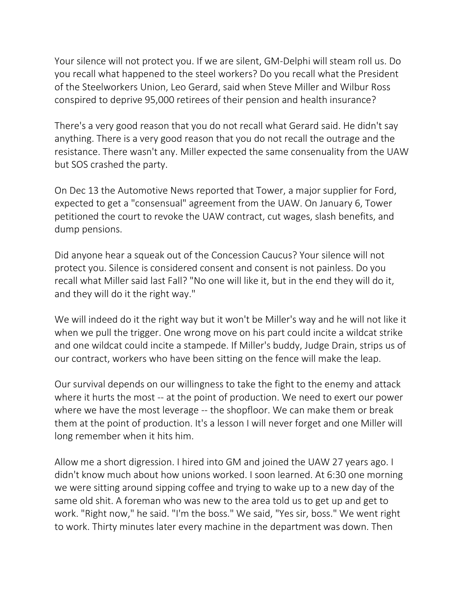Your silence will not protect you. If we are silent, GM-Delphi will steam roll us. Do you recall what happened to the steel workers? Do you recall what the President of the Steelworkers Union, Leo Gerard, said when Steve Miller and Wilbur Ross conspired to deprive 95,000 retirees of their pension and health insurance?

There's a very good reason that you do not recall what Gerard said. He didn't say anything. There is a very good reason that you do not recall the outrage and the resistance. There wasn't any. Miller expected the same consenuality from the UAW but SOS crashed the party.

On Dec 13 the Automotive News reported that Tower, a major supplier for Ford, expected to get a "consensual" agreement from the UAW. On January 6, Tower petitioned the court to revoke the UAW contract, cut wages, slash benefits, and dump pensions.

Did anyone hear a squeak out of the Concession Caucus? Your silence will not protect you. Silence is considered consent and consent is not painless. Do you recall what Miller said last Fall? "No one will like it, but in the end they will do it, and they will do it the right way."

We will indeed do it the right way but it won't be Miller's way and he will not like it when we pull the trigger. One wrong move on his part could incite a wildcat strike and one wildcat could incite a stampede. If Miller's buddy, Judge Drain, strips us of our contract, workers who have been sitting on the fence will make the leap.

Our survival depends on our willingness to take the fight to the enemy and attack where it hurts the most -- at the point of production. We need to exert our power where we have the most leverage -- the shopfloor. We can make them or break them at the point of production. It's a lesson I will never forget and one Miller will long remember when it hits him.

Allow me a short digression. I hired into GM and joined the UAW 27 years ago. I didn't know much about how unions worked. I soon learned. At 6:30 one morning we were sitting around sipping coffee and trying to wake up to a new day of the same old shit. A foreman who was new to the area told us to get up and get to work. "Right now," he said. "I'm the boss." We said, "Yes sir, boss." We went right to work. Thirty minutes later every machine in the department was down. Then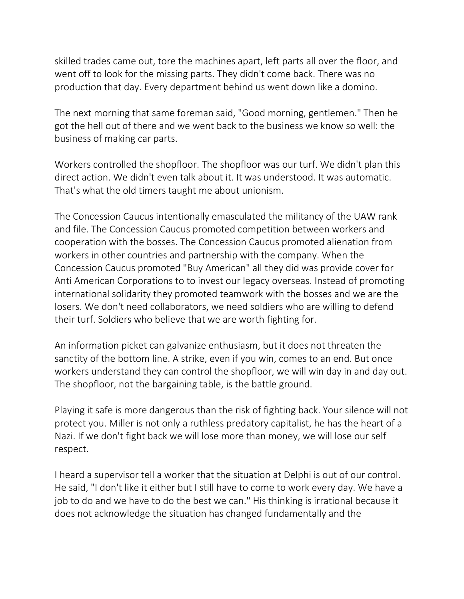skilled trades came out, tore the machines apart, left parts all over the floor, and went off to look for the missing parts. They didn't come back. There was no production that day. Every department behind us went down like a domino.

The next morning that same foreman said, "Good morning, gentlemen." Then he got the hell out of there and we went back to the business we know so well: the business of making car parts.

Workers controlled the shopfloor. The shopfloor was our turf. We didn't plan this direct action. We didn't even talk about it. It was understood. It was automatic. That's what the old timers taught me about unionism.

The Concession Caucus intentionally emasculated the militancy of the UAW rank and file. The Concession Caucus promoted competition between workers and cooperation with the bosses. The Concession Caucus promoted alienation from workers in other countries and partnership with the company. When the Concession Caucus promoted "Buy American" all they did was provide cover for Anti American Corporations to to invest our legacy overseas. Instead of promoting international solidarity they promoted teamwork with the bosses and we are the losers. We don't need collaborators, we need soldiers who are willing to defend their turf. Soldiers who believe that we are worth fighting for.

An information picket can galvanize enthusiasm, but it does not threaten the sanctity of the bottom line. A strike, even if you win, comes to an end. But once workers understand they can control the shopfloor, we will win day in and day out. The shopfloor, not the bargaining table, is the battle ground.

Playing it safe is more dangerous than the risk of fighting back. Your silence will not protect you. Miller is not only a ruthless predatory capitalist, he has the heart of a Nazi. If we don't fight back we will lose more than money, we will lose our self respect.

I heard a supervisor tell a worker that the situation at Delphi is out of our control. He said, "I don't like it either but I still have to come to work every day. We have a job to do and we have to do the best we can." His thinking is irrational because it does not acknowledge the situation has changed fundamentally and the